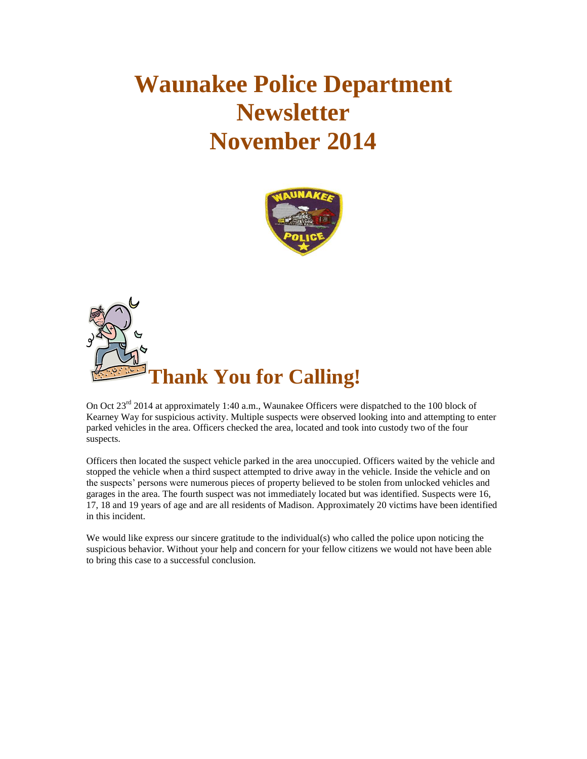# **Waunakee Police Department Newsletter November 2014**





On Oct 23<sup>rd</sup> 2014 at approximately 1:40 a.m., Waunakee Officers were dispatched to the 100 block of Kearney Way for suspicious activity. Multiple suspects were observed looking into and attempting to enter parked vehicles in the area. Officers checked the area, located and took into custody two of the four suspects.

Officers then located the suspect vehicle parked in the area unoccupied. Officers waited by the vehicle and stopped the vehicle when a third suspect attempted to drive away in the vehicle. Inside the vehicle and on the suspects' persons were numerous pieces of property believed to be stolen from unlocked vehicles and garages in the area. The fourth suspect was not immediately located but was identified. Suspects were 16, 17, 18 and 19 years of age and are all residents of Madison. Approximately 20 victims have been identified in this incident.

We would like express our sincere gratitude to the individual(s) who called the police upon noticing the suspicious behavior. Without your help and concern for your fellow citizens we would not have been able to bring this case to a successful conclusion.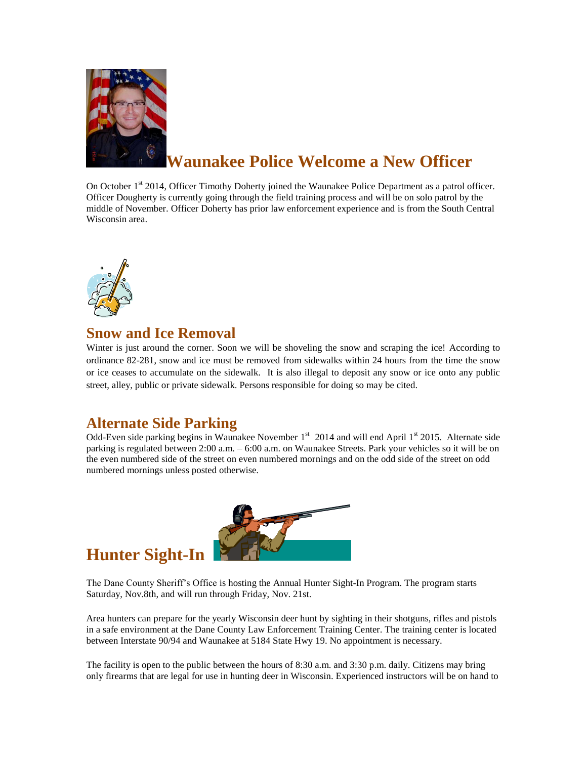

# **Waunakee Police Welcome a New Officer**

On October 1<sup>st</sup> 2014, Officer Timothy Doherty joined the Waunakee Police Department as a patrol officer. Officer Dougherty is currently going through the field training process and will be on solo patrol by the middle of November. Officer Doherty has prior law enforcement experience and is from the South Central Wisconsin area.



#### **Snow and Ice Removal**

Winter is just around the corner. Soon we will be shoveling the snow and scraping the ice! According to ordinance 82-281, snow and ice must be removed from sidewalks within 24 hours from the time the snow or ice ceases to accumulate on the sidewalk*.* It is also illegal to deposit any snow or ice onto any public street, alley, public or private sidewalk. Persons responsible for doing so may be cited.

#### **Alternate Side Parking**

Odd-Even side parking begins in Waunakee November 1<sup>st</sup> 2014 and will end April 1<sup>st</sup> 2015. Alternate side parking is regulated between 2:00 a.m. – 6:00 a.m. on Waunakee Streets. Park your vehicles so it will be on the even numbered side of the street on even numbered mornings and on the odd side of the street on odd numbered mornings unless posted otherwise.



## **Hunter Sight-In**

The Dane County Sheriff's Office is hosting the Annual Hunter Sight-In Program. The program starts Saturday, Nov.8th, and will run through Friday, Nov. 21st.

Area hunters can prepare for the yearly Wisconsin deer hunt by sighting in their shotguns, rifles and pistols in a safe environment at the Dane County Law Enforcement Training Center. The training center is located between Interstate 90/94 and Waunakee at 5184 State Hwy 19. No appointment is necessary.

The facility is open to the public between the hours of 8:30 a.m. and 3:30 p.m. daily. Citizens may bring only firearms that are legal for use in hunting deer in Wisconsin. Experienced instructors will be on hand to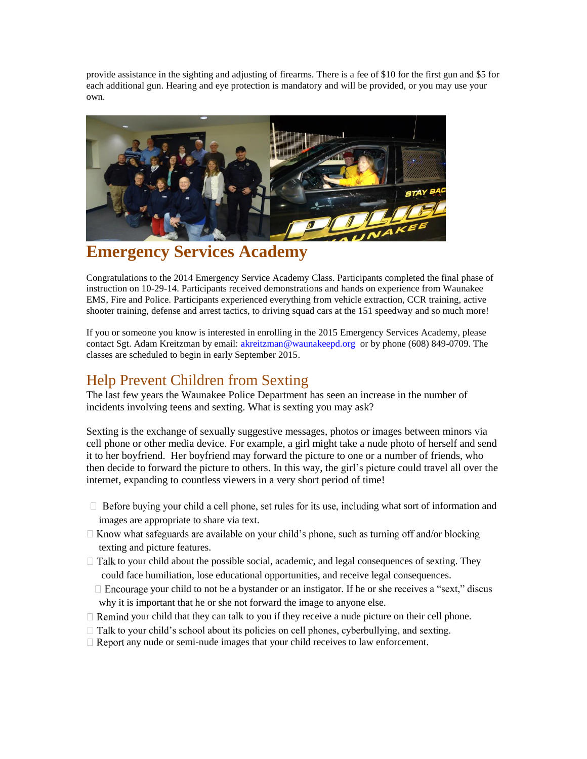provide assistance in the sighting and adjusting of firearms. There is a fee of \$10 for the first gun and \$5 for each additional gun. Hearing and eye protection is mandatory and will be provided, or you may use your own.



### **Emergency Services Academy**

Congratulations to the 2014 Emergency Service Academy Class. Participants completed the final phase of instruction on 10-29-14. Participants received demonstrations and hands on experience from Waunakee EMS, Fire and Police. Participants experienced everything from vehicle extraction, CCR training, active shooter training, defense and arrest tactics, to driving squad cars at the 151 speedway and so much more!

If you or someone you know is interested in enrolling in the 2015 Emergency Services Academy, please contact Sgt. Adam Kreitzman by email: [akreitzman@waunakeepd.org](mailto:akreitzman@waunakeepd.org) or by phone (608) 849-0709. The classes are scheduled to begin in early September 2015.

#### Help Prevent Children from Sexting

The last few years the Waunakee Police Department has seen an increase in the number of incidents involving teens and sexting. What is sexting you may ask?

Sexting is the exchange of sexually suggestive messages, photos or images between minors via cell phone or other media device. For example, a girl might take a nude photo of herself and send it to her boyfriend. Her boyfriend may forward the picture to one or a number of friends, who then decide to forward the picture to others. In this way, the girl's picture could travel all over the internet, expanding to countless viewers in a very short period of time!

- $\Box$  Before buying your child a cell phone, set rules for its use, including what sort of information and images are appropriate to share via text.
- $\Box$  Know what safeguards are available on your child's phone, such as turning off and/or blocking texting and picture features.
- $\Box$  Talk to your child about the possible social, academic, and legal consequences of sexting. They could face humiliation, lose educational opportunities, and receive legal consequences.
	- $\Box$  Encourage your child to not be a bystander or an instigator. If he or she receives a "sext," discus why it is important that he or she not forward the image to anyone else.
- $\Box$  Remind your child that they can talk to you if they receive a nude picture on their cell phone.
- $\Box$  Talk to your child's school about its policies on cell phones, cyberbullying, and sexting.
- $\Box$  Report any nude or semi-nude images that your child receives to law enforcement.